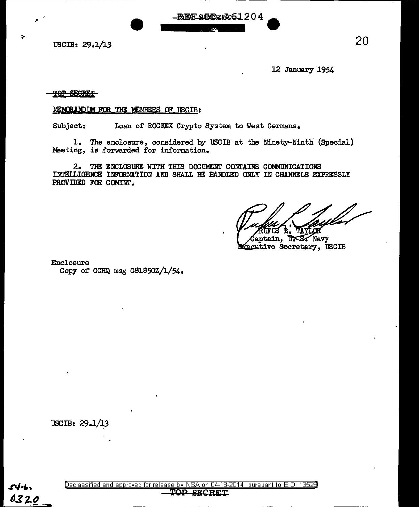USCIB: 29.1/13

I

12 January 1954

## TOP SEGRET

## MEMORANDUM FOR THE MEMBERS OF USCIB:

Subject: Loan of ROCKEX Crypto System to West Germans.

1. The enclosure, considered by USCIB at the Ninety-Ninth (Special) Meeting, is forwarded for information.

REF STORES1204

2. THE ENCLOSURE WITH THIS DOCUMENT CONTAINS COMMUNICATIONS INTELLIGENCE INFORMATION AND SHALL BE HANDLED ONLY IN CHANNELS EXPRESSLY PROVIDED FOR COMINT.

**Captain, USS Navy**<br>**Axecutive Secretary, USCIB** 

Enclosure

Copy of GCHQ msg 081850Z/l/54.

USCIB:  $29.1/13$ 

0320

Declassified and approved for release by NSA on 04-18-2014 pursuant to E. 0. 1352B

TOP SECRET